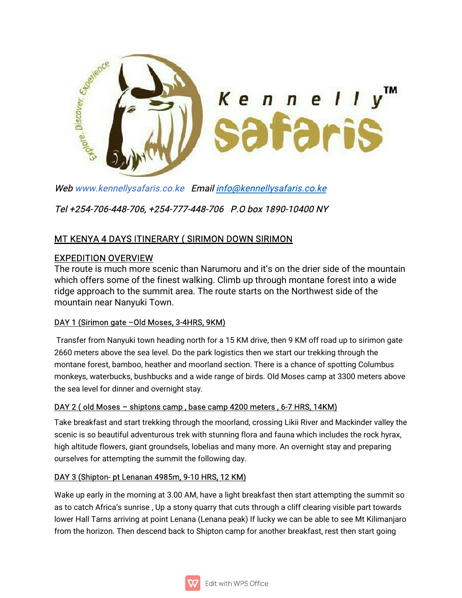

Web www.kennellysafaris.co.ke Email info@kennellysafaris.co.ke

Tel+254-706-448-706,+254-777-448-706 P.Obox1890-10400NY

# MT KENYA 4 DAYS ITINERARY (SIRIMON DOWN SIRIMON

## **EXPEDITION OVERVIEW**

The route is much more scenic than Narumoru and it's on the drier side of the mountain which offers some of the finest walking. Climb up through montane forest into a wide ridge approach to the summit area. The route starts on the Northwest side of the mountain near Nanyuki Town.

## DAY 1 (Sirimon gate -Old Moses, 3-4HRS, 9KM)

Transfer from Nanyuki town heading north for a 15 KM drive, then 9 KM off road up to sirimon gate 2660 meters above the sea level. Do the park logistics then we start our trekking through the montane forest, bamboo, heather and moorland section. There is a chance of spotting Columbus monkeys, waterbucks, bushbucks and a wide range of birds. Old Moses camp at 3300 meters above the sea level for dinner and overnight stay.

## DAY 2 (old Moses - shiptons camp, base camp 4200 meters, 6-7 HRS, 14KM)

Take breakfast and start trekking through the moorland, crossing Likii River and Mackinder valley the scenic is so beautiful adventurous trek with stunning flora and fauna which includes the rock hyrax, high altitude flowers, giant groundsels, lobelias and many more. An overnight stay and preparing ourselves for attempting the summit the following day.

### DAY 3 (Shipton-pt Lenanan 4985m, 9-10 HRS, 12 KM)

Wake up early in the morning at 3.00 AM, have a light breakfast then start attempting the summit so as to catch Africa's sunrise, Up a stony quarry that cuts through a cliff clearing visible part towards lower Hall Tarns arriving at point Lenana (Lenana peak) If lucky we can be able to see Mt Kilimanjaro from the horizon. Then descend back to Shipton camp for another breakfast, rest then start going

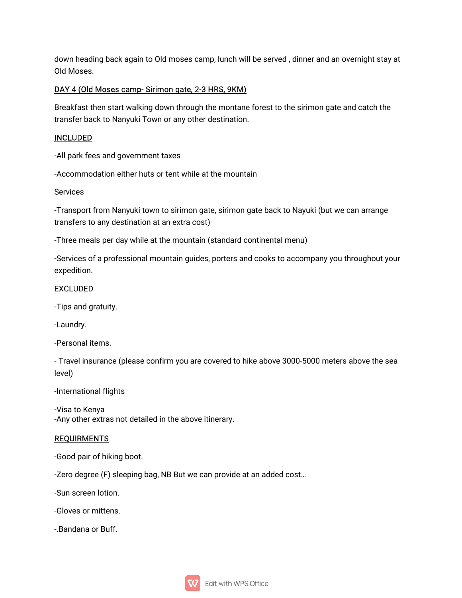down heading back again to Old moses camp, lunch will be served, dinner and an overnight stay at Old Moses.

#### DAY 4 (Old Moses camp-Sirimon gate, 2-3 HRS, 9KM)

Breakfast then start walking down through the montane forest to the sirimon gate and catch the transfer back to Nanyuki Town or any other destination.

#### INCLUDED

-All park fees and government taxes

-Accommodation either huts or tent while at the mountain

Services

-Transport from Nanyuki town to sirimon gate, sirimon gate back to Nayuki (but we can arrange transfers to any destination at an extra cost)

-Three meals per day while at the mountain (standard continental menu)

-Services of a professional mountain guides, porters and cooks to accompany you throughout your expedition.

EXCLUDED

-Tips and gratuity.

-Laundry.

-Personal items.

- Travel insurance (please confirm you are covered to hike above 3000-5000 meters above the sea level)

-International flights

-Visa to Kenya -Any other extras not detailed in the above itinerary.

#### **REQUIRMENTS**

-Good pair of hiking boot.

-Zero degree (F) sleeping bag, NB But we can provide at an added cost...

-Sun screen lotion.

-Gloves or mittens.

-.Bandana or Buff.